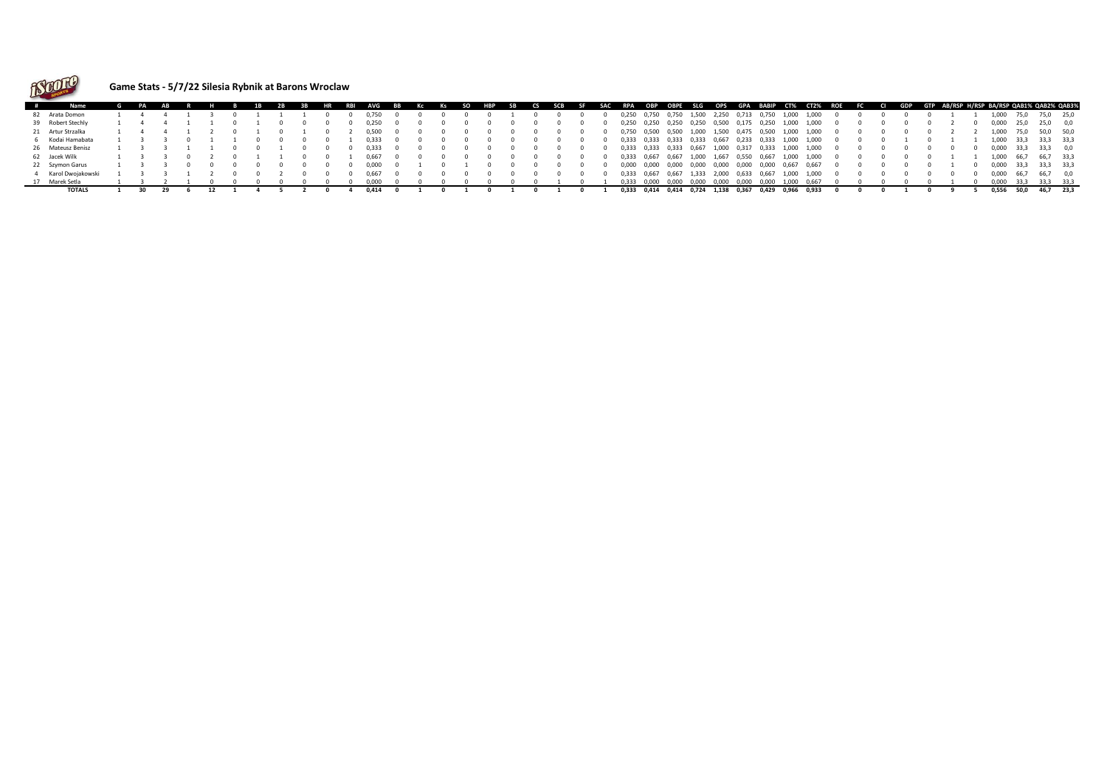

## **Game Stats - 5/7/22 Silesia Rybnik at Barons Wroclaw**

| # |                     |  | AB |  | <b>1B</b> | 2B |  | RBI | <b>AVG</b> | <b>BB</b> |  |  |  |  |       |         |                               |             |       |             |                   |       |                                                       |  |  |  |       |                |           | Kc Ks SO HBP SB CS SCB SF SAC RPA OBP OBPE SLG OPS GPA BABIP CT% CT2% ROE FC CI GDP GTP AB/RSPH/RSPBA/RSPQAB1%QAB2%QAB3% |
|---|---------------------|--|----|--|-----------|----|--|-----|------------|-----------|--|--|--|--|-------|---------|-------------------------------|-------------|-------|-------------|-------------------|-------|-------------------------------------------------------|--|--|--|-------|----------------|-----------|--------------------------------------------------------------------------------------------------------------------------|
|   | 82 Arata Domon      |  |    |  |           |    |  |     |            |           |  |  |  |  | 0,250 | 0,750   | 0,750 1,500                   |             | 2,250 | 0,713       | 0.750             | 1,000 | 1.000                                                 |  |  |  | 1.000 |                |           | 75,0 25,0                                                                                                                |
|   | 39 Robert Stechly   |  |    |  |           |    |  |     |            |           |  |  |  |  | 0,250 | 0,250   |                               | 0,250 0,250 | 0,500 | 0.175       | 0,250             | 1,000 | 1.000                                                 |  |  |  | 0.000 | 25.0           | 25.0 0.0  |                                                                                                                          |
|   | 21 Artur Strzalka   |  |    |  |           |    |  |     | 0.500      |           |  |  |  |  | 0,750 | 0,500   | 0,500 1,000 1,500 0,475 0,500 |             |       |             |                   | 1,000 | 1,000                                                 |  |  |  | 1.000 |                |           | 50,0 50,0                                                                                                                |
|   | 6 Kodai Hamabata    |  |    |  |           |    |  |     | 0.333      |           |  |  |  |  |       |         |                               |             |       |             |                   |       | 0,333 0,333 0,333 0,333 0,667 0,233 0,333 1,000 1,000 |  |  |  | 1.000 | 33.3           | 33.3 33.3 |                                                                                                                          |
|   | 26 Mateusz Benisz   |  |    |  |           |    |  |     | 0.333      |           |  |  |  |  |       |         | 0,333 0,333 0,333 0,667 1,000 |             |       |             | 0,317 0,333 1,000 |       | 1.000                                                 |  |  |  | 0.000 | - 33.3         |           |                                                                                                                          |
|   | 62 Jacek Wilk       |  |    |  |           |    |  |     | 0.667      |           |  |  |  |  |       |         |                               |             |       |             |                   |       | 0,333 0,667 0,667 1,000 1,667 0,550 0,667 1,000 1,000 |  |  |  | 1.000 | 66,7 66,7 33,3 |           |                                                                                                                          |
|   | 22 Szymon Garus     |  |    |  |           |    |  |     | 0.000      |           |  |  |  |  | 0,000 | 0,000   | 0,000 0,000 0,000             |             |       | 0,000       |                   |       | 0,000 0,667 0,667                                     |  |  |  | 0.000 | 33.3           |           | 33.3 33.3                                                                                                                |
|   | 4 Karol Dwoiakowski |  |    |  |           |    |  |     |            |           |  |  |  |  | 0.333 | 0.667   | 0.667                         | 1.333       | 2,000 | 0,633 0,667 |                   | 1.000 | 1.000                                                 |  |  |  | 0.000 |                |           |                                                                                                                          |
|   | 17 Marek Setla      |  |    |  |           |    |  |     | n nnn      |           |  |  |  |  | 0.333 | - 0.000 | 0.000 0.000                   |             | 0.000 | 0.000       | 0.000             | 1.000 |                                                       |  |  |  | 0.000 |                |           |                                                                                                                          |
|   | <b>TOTALS</b>       |  |    |  |           |    |  |     | 0.414      |           |  |  |  |  |       |         | 0,333 0,414 0,414 0,724 1,138 |             |       |             | 0,367 0,429       | 0.966 | 0.933                                                 |  |  |  | 0.556 |                |           |                                                                                                                          |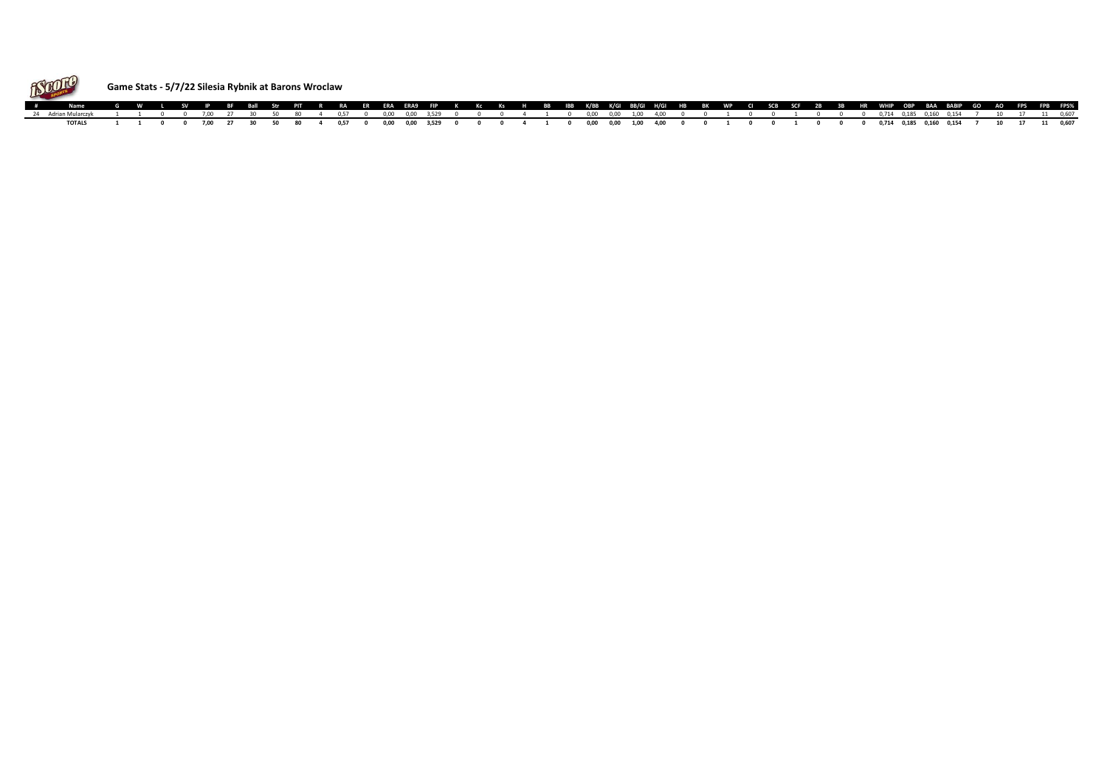

## **Game Stats - 5/7/22 Silesia Rybnik at Barons Wroclaw**

| # Name G W L SV IP BF Ball Str PIT R RA ER ERA ERA9 FIP K Kc Ks H BB IBB K/BB K/GI BB/GI H/GI HB BK WP CI SCB SCF 2B 3B HR WHIP OBP BAA BABIP GO AO FPS FPB FPS% |  |  |  |  |  |  |  |  |  |  |  |  |  |  |  |  |  |  |  |  |  |  |
|------------------------------------------------------------------------------------------------------------------------------------------------------------------|--|--|--|--|--|--|--|--|--|--|--|--|--|--|--|--|--|--|--|--|--|--|
| 24 Adrian Mularczyk 1 1 0 0 7,00 27 30 50 80 4 0,57 0 0,00 0,00 3,529 0 0 0 4 1 0 0,00 0,00 1,00 4,00 0 0 1 0 0 1 0 0 0 0,714 0,185 0,160 0,154 7 10 17 11 0,607 |  |  |  |  |  |  |  |  |  |  |  |  |  |  |  |  |  |  |  |  |  |  |
| TOTALS 1 1 0 0 7,00 27 30 50 80 4 0,57 0 0,00 0,00 3,529 0 0 0 4 1 0 0,00 0,00 1,00 4,00 0 0 1 0 0 1 0 0 0 0,714 0,185 0,160 0,154 7 10 17 11 0,607              |  |  |  |  |  |  |  |  |  |  |  |  |  |  |  |  |  |  |  |  |  |  |